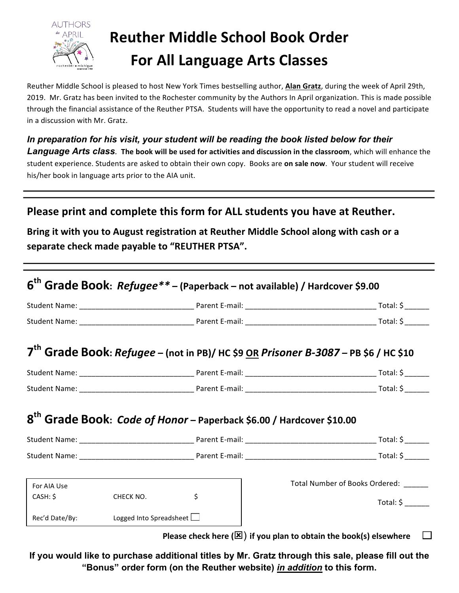

# **Reuther Middle School Book Order For All Language Arts Classes**

Reuther Middle School is pleased to host New York Times bestselling author, Alan Gratz, during the week of April 29th, 2019. Mr. Gratz has been invited to the Rochester community by the Authors In April organization. This is made possible through the financial assistance of the Reuther PTSA. Students will have the opportunity to read a novel and participate in a discussion with Mr. Gratz.

*In preparation for his visit, your student will be reading the book listed below for their*  **Language Arts class**. The book will be used for activities and discussion in the classroom, which will enhance the student experience. Students are asked to obtain their own copy. Books are on sale now. Your student will receive his/her book in language arts prior to the AIA unit.

# **Please print and complete this form for ALL students you have at Reuther.**

Bring it with you to August registration at Reuther Middle School along with cash or a separate check made payable to "REUTHER PTSA".

|             |           |                                                                                         | 7 <sup>th</sup> Grade Book: Refugee - (not in PB)/ HC \$9 OR Prisoner B-3087 - PB \$6 / HC \$10 |
|-------------|-----------|-----------------------------------------------------------------------------------------|-------------------------------------------------------------------------------------------------|
|             |           |                                                                                         |                                                                                                 |
|             |           |                                                                                         |                                                                                                 |
|             |           | 8 <sup>th</sup> Grade Book: <i>Code of Honor</i> - Paperback \$6.00 / Hardcover \$10.00 |                                                                                                 |
|             |           |                                                                                         |                                                                                                 |
|             |           |                                                                                         |                                                                                                 |
| For AIA Use |           |                                                                                         |                                                                                                 |
| CASH: \$    | CHECK NO. | $\zeta$                                                                                 | Total Number of Books Ordered: ______                                                           |

**If you would like to purchase additional titles by Mr. Gratz through this sale, please fill out the "Bonus" order form (on the Reuther website)** *in addition* **to this form.**